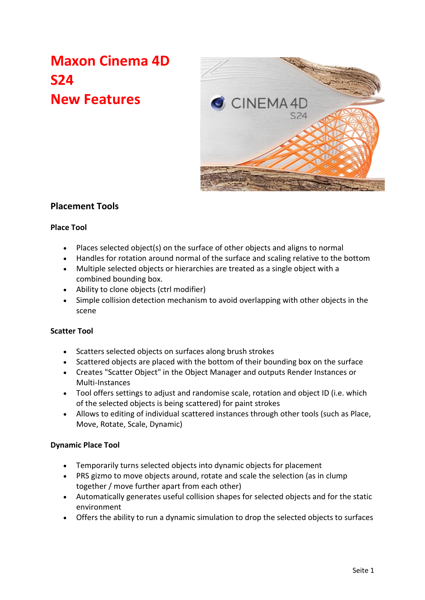# **Maxon Cinema 4D S24 New Features**



# **Placement Tools**

# **Place Tool**

- Places selected object(s) on the surface of other objects and aligns to normal
- Handles for rotation around normal of the surface and scaling relative to the bottom
- Multiple selected objects or hierarchies are treated as a single object with a combined bounding box.
- Ability to clone objects (ctrl modifier)
- Simple collision detection mechanism to avoid overlapping with other objects in the scene

### **Scatter Tool**

- Scatters selected objects on surfaces along brush strokes
- Scattered objects are placed with the bottom of their bounding box on the surface
- Creates "Scatter Object" in the Object Manager and outputs Render Instances or Multi-Instances
- Tool offers settings to adjust and randomise scale, rotation and object ID (i.e. which of the selected objects is being scattered) for paint strokes
- Allows to editing of individual scattered instances through other tools (such as Place, Move, Rotate, Scale, Dynamic)

### **Dynamic Place Tool**

- Temporarily turns selected objects into dynamic objects for placement
- PRS gizmo to move objects around, rotate and scale the selection (as in clump together / move further apart from each other)
- Automatically generates useful collision shapes for selected objects and for the static environment
- Offers the ability to run a dynamic simulation to drop the selected objects to surfaces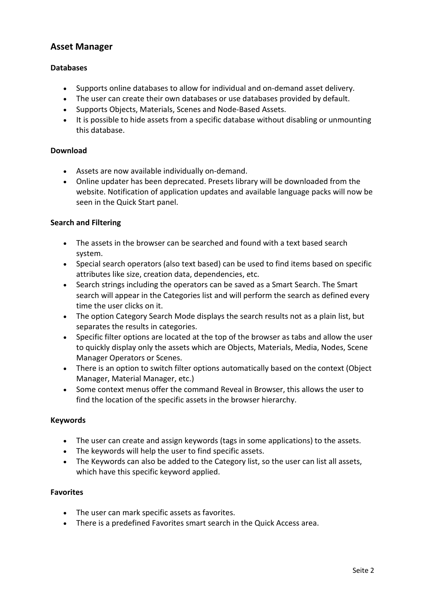# **Asset Manager**

## **Databases**

- Supports online databases to allow for individual and on-demand asset delivery.
- The user can create their own databases or use databases provided by default.
- Supports Objects, Materials, Scenes and Node-Based Assets.
- It is possible to hide assets from a specific database without disabling or unmounting this database.

### **Download**

- Assets are now available individually on-demand.
- Online updater has been deprecated. Presets library will be downloaded from the website. Notification of application updates and available language packs will now be seen in the Quick Start panel.

## **Search and Filtering**

- The assets in the browser can be searched and found with a text based search system.
- Special search operators (also text based) can be used to find items based on specific attributes like size, creation data, dependencies, etc.
- Search strings including the operators can be saved as a Smart Search. The Smart search will appear in the Categories list and will perform the search as defined every time the user clicks on it.
- The option Category Search Mode displays the search results not as a plain list, but separates the results in categories.
- Specific filter options are located at the top of the browser as tabs and allow the user to quickly display only the assets which are Objects, Materials, Media, Nodes, Scene Manager Operators or Scenes.
- There is an option to switch filter options automatically based on the context (Object Manager, Material Manager, etc.)
- Some context menus offer the command Reveal in Browser, this allows the user to find the location of the specific assets in the browser hierarchy.

### **Keywords**

- The user can create and assign keywords (tags in some applications) to the assets.
- The keywords will help the user to find specific assets.
- The Keywords can also be added to the Category list, so the user can list all assets, which have this specific keyword applied.

### **Favorites**

- The user can mark specific assets as favorites.
- There is a predefined Favorites smart search in the Quick Access area.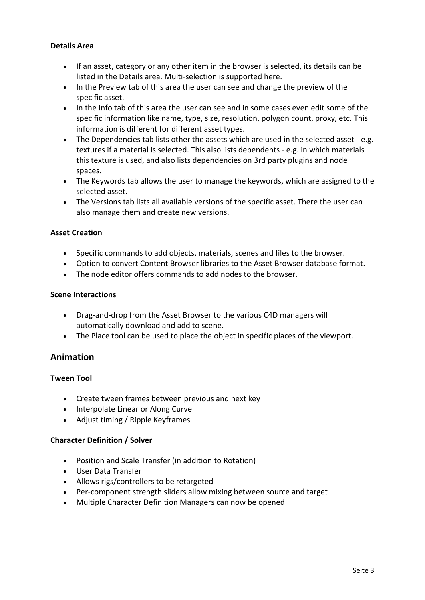## **Details Area**

- If an asset, category or any other item in the browser is selected, its details can be listed in the Details area. Multi-selection is supported here.
- In the Preview tab of this area the user can see and change the preview of the specific asset.
- In the Info tab of this area the user can see and in some cases even edit some of the specific information like name, type, size, resolution, polygon count, proxy, etc. This information is different for different asset types.
- The Dependencies tab lists other the assets which are used in the selected asset e.g. textures if a material is selected. This also lists dependents - e.g. in which materials this texture is used, and also lists dependencies on 3rd party plugins and node spaces.
- The Keywords tab allows the user to manage the keywords, which are assigned to the selected asset.
- The Versions tab lists all available versions of the specific asset. There the user can also manage them and create new versions.

## **Asset Creation**

- Specific commands to add objects, materials, scenes and files to the browser.
- Option to convert Content Browser libraries to the Asset Browser database format.
- The node editor offers commands to add nodes to the browser.

### **Scene Interactions**

- Drag-and-drop from the Asset Browser to the various C4D managers will automatically download and add to scene.
- The Place tool can be used to place the object in specific places of the viewport.

# **Animation**

### **Tween Tool**

- Create tween frames between previous and next key
- Interpolate Linear or Along Curve
- Adjust timing / Ripple Keyframes

### **Character Definition / Solver**

- Position and Scale Transfer (in addition to Rotation)
- User Data Transfer
- Allows rigs/controllers to be retargeted
- Per-component strength sliders allow mixing between source and target
- Multiple Character Definition Managers can now be opened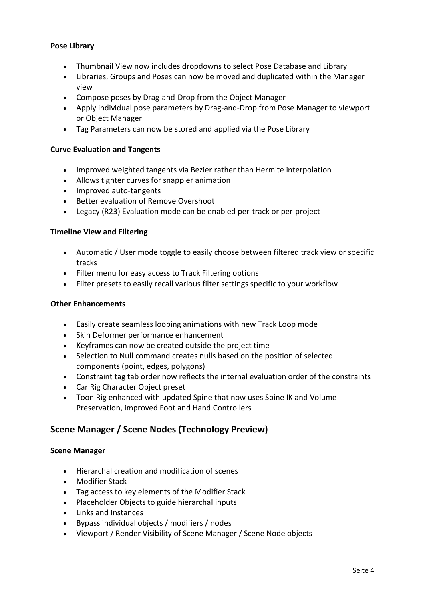## **Pose Library**

- Thumbnail View now includes dropdowns to select Pose Database and Library
- Libraries, Groups and Poses can now be moved and duplicated within the Manager view
- Compose poses by Drag-and-Drop from the Object Manager
- Apply individual pose parameters by Drag-and-Drop from Pose Manager to viewport or Object Manager
- Tag Parameters can now be stored and applied via the Pose Library

### **Curve Evaluation and Tangents**

- Improved weighted tangents via Bezier rather than Hermite interpolation
- Allows tighter curves for snappier animation
- Improved auto-tangents
- Better evaluation of Remove Overshoot
- Legacy (R23) Evaluation mode can be enabled per-track or per-project

### **Timeline View and Filtering**

- Automatic / User mode toggle to easily choose between filtered track view or specific tracks
- Filter menu for easy access to Track Filtering options
- Filter presets to easily recall various filter settings specific to your workflow

### **Other Enhancements**

- Easily create seamless looping animations with new Track Loop mode
- Skin Deformer performance enhancement
- Keyframes can now be created outside the project time
- Selection to Null command creates nulls based on the position of selected components (point, edges, polygons)
- Constraint tag tab order now reflects the internal evaluation order of the constraints
- Car Rig Character Object preset
- Toon Rig enhanced with updated Spine that now uses Spine IK and Volume Preservation, improved Foot and Hand Controllers

# **Scene Manager / Scene Nodes (Technology Preview)**

### **Scene Manager**

- Hierarchal creation and modification of scenes
- Modifier Stack
- Tag access to key elements of the Modifier Stack
- Placeholder Objects to guide hierarchal inputs
- Links and Instances
- Bypass individual objects / modifiers / nodes
- Viewport / Render Visibility of Scene Manager / Scene Node objects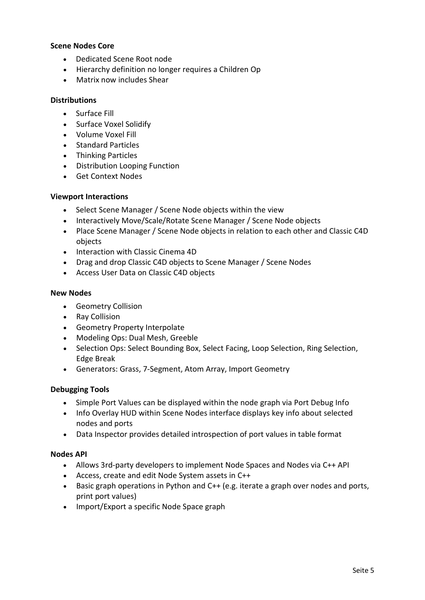#### **Scene Nodes Core**

- Dedicated Scene Root node
- Hierarchy definition no longer requires a Children Op
- Matrix now includes Shear

#### **Distributions**

- Surface Fill
- Surface Voxel Solidify
- Volume Voxel Fill
- Standard Particles
- Thinking Particles
- Distribution Looping Function
- Get Context Nodes

### **Viewport Interactions**

- Select Scene Manager / Scene Node objects within the view
- Interactively Move/Scale/Rotate Scene Manager / Scene Node objects
- Place Scene Manager / Scene Node objects in relation to each other and Classic C4D objects
- Interaction with Classic Cinema 4D
- Drag and drop Classic C4D objects to Scene Manager / Scene Nodes
- Access User Data on Classic C4D objects

### **New Nodes**

- Geometry Collision
- Ray Collision
- Geometry Property Interpolate
- Modeling Ops: Dual Mesh, Greeble
- Selection Ops: Select Bounding Box, Select Facing, Loop Selection, Ring Selection, Edge Break
- Generators: Grass, 7-Segment, Atom Array, Import Geometry

### **Debugging Tools**

- Simple Port Values can be displayed within the node graph via Port Debug Info
- Info Overlay HUD within Scene Nodes interface displays key info about selected nodes and ports
- Data Inspector provides detailed introspection of port values in table format

### **Nodes API**

- Allows 3rd-party developers to implement Node Spaces and Nodes via C++ API
- Access, create and edit Node System assets in C++
- Basic graph operations in Python and C++ (e.g. iterate a graph over nodes and ports, print port values)
- Import/Export a specific Node Space graph